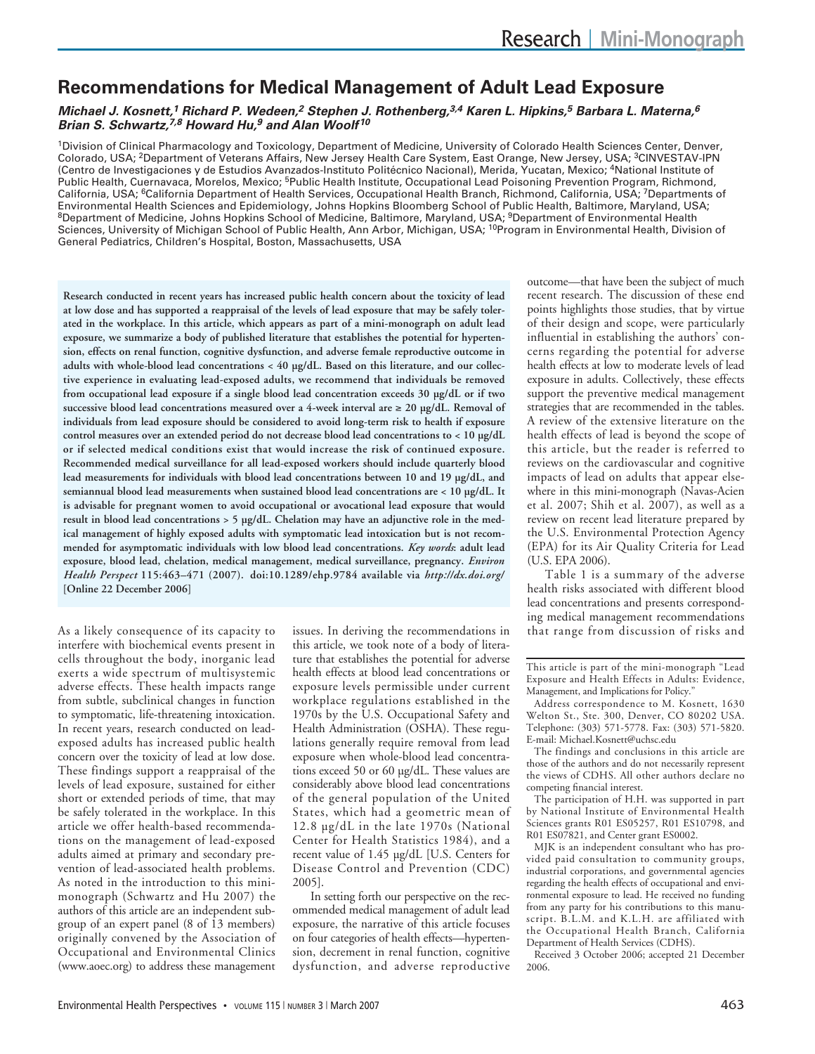# **Recommendations for Medical Management of Adult Lead Exposure**

**Michael J. Kosnett,<sup>1</sup> Richard P. Wedeen,<sup>2</sup> Stephen J. Rothenberg,3,4 Karen L. Hipkins,<sup>5</sup> Barbara L. Materna,<sup>6</sup> Brian S. Schwartz,7,8 Howard Hu,<sup>9</sup> and Alan Woolf<sup>10</sup>**

1Division of Clinical Pharmacology and Toxicology, Department of Medicine, University of Colorado Health Sciences Center, Denver, Colorado, USA; 2Department of Veterans Affairs, New Jersey Health Care System, East Orange, New Jersey, USA; 3CINVESTAV-IPN (Centro de Investigaciones y de Estudios Avanzados-Instituto Politécnico Nacional), Merida, Yucatan, Mexico; <sup>4</sup>National Institute of Public Health, Cuernavaca, Morelos, Mexico; <sup>5</sup>Public Health Institute, Occupational Lead Poisoning Prevention Program, Richmond, California, USA; <sup>6</sup>California Department of Health Services, Occupational Health Branch, Richmond, California, USA; <sup>7</sup>Departments of Environmental Health Sciences and Epidemiology, Johns Hopkins Bloomberg School of Public Health, Baltimore, Maryland, USA; <sup>8</sup>Department of Medicine, Johns Hopkins School of Medicine, Baltimore, Maryland, USA; <sup>9</sup>Department of Environmental Health Sciences, University of Michigan School of Public Health, Ann Arbor, Michigan, USA; 10Program in Environmental Health, Division of General Pediatrics, Children's Hospital, Boston, Massachusetts, USA

**Research conducted in recent years has increased public health concern about the toxicity of lead at low dose and has supported a reappraisal of the levels of lead exposure that may be safely tolerated in the workplace. In this article, which appears as part of a mini-monograph on adult lead exposure, we summarize a body of published literature that establishes the potential for hypertension, effects on renal function, cognitive dysfunction, and adverse female reproductive outcome in adults with whole-blood lead concentrations < 40 µg/dL. Based on this literature, and our collective experience in evaluating lead-exposed adults, we recommend that individuals be removed from occupational lead exposure if a single blood lead concentration exceeds 30 µg/dL or if two successive blood lead concentrations measured over a 4-week interval are** ≥ **20 µg/dL. Removal of individuals from lead exposure should be considered to avoid long-term risk to health if exposure control measures over an extended period do not decrease blood lead concentrations to < 10 µg/dL or if selected medical conditions exist that would increase the risk of continued exposure. Recommended medical surveillance for all lead-exposed workers should include quarterly blood lead measurements for individuals with blood lead concentrations between 10 and 19 µg/dL, and semiannual blood lead measurements when sustained blood lead concentrations are < 10 µg/dL. It is advisable for pregnant women to avoid occupational or avocational lead exposure that would result in blood lead concentrations > 5 µg/dL. Chelation may have an adjunctive role in the medical management of highly exposed adults with symptomatic lead intoxication but is not recommended for asymptomatic individuals with low blood lead concentrations.** *Key words***: adult lead exposure, blood lead, chelation, medical management, medical surveillance, pregnancy.** *Environ Health Perspect* **115:463–471 (2007). doi:10.1289/ehp.9784 available via** *http://dx.doi.org/* **[Online 22 December 2006]**

As a likely consequence of its capacity to interfere with biochemical events present in cells throughout the body, inorganic lead exerts a wide spectrum of multisystemic adverse effects. These health impacts range from subtle, subclinical changes in function to symptomatic, life-threatening intoxication. In recent years, research conducted on leadexposed adults has increased public health concern over the toxicity of lead at low dose. These findings support a reappraisal of the levels of lead exposure, sustained for either short or extended periods of time, that may be safely tolerated in the workplace. In this article we offer health-based recommendations on the management of lead-exposed adults aimed at primary and secondary prevention of lead-associated health problems. As noted in the introduction to this minimonograph (Schwartz and Hu 2007) the authors of this article are an independent subgroup of an expert panel (8 of 13 members) originally convened by the Association of Occupational and Environmental Clinics (www.aoec.org) to address these management

issues. In deriving the recommendations in this article, we took note of a body of literature that establishes the potential for adverse health effects at blood lead concentrations or exposure levels permissible under current workplace regulations established in the 1970s by the U.S. Occupational Safety and Health Administration (OSHA). These regulations generally require removal from lead exposure when whole-blood lead concentrations exceed 50 or 60 µg/dL. These values are considerably above blood lead concentrations of the general population of the United States, which had a geometric mean of 12.8 µg/dL in the late 1970s (National Center for Health Statistics 1984), and a recent value of 1.45 µg/dL [U.S. Centers for Disease Control and Prevention (CDC) 2005].

In setting forth our perspective on the recommended medical management of adult lead exposure, the narrative of this article focuses on four categories of health effects—hypertension, decrement in renal function, cognitive dysfunction, and adverse reproductive outcome—that have been the subject of much recent research. The discussion of these end points highlights those studies, that by virtue of their design and scope, were particularly influential in establishing the authors' concerns regarding the potential for adverse health effects at low to moderate levels of lead exposure in adults. Collectively, these effects support the preventive medical management strategies that are recommended in the tables. A review of the extensive literature on the health effects of lead is beyond the scope of this article, but the reader is referred to reviews on the cardiovascular and cognitive impacts of lead on adults that appear elsewhere in this mini-monograph (Navas-Acien et al. 2007; Shih et al. 2007), as well as a review on recent lead literature prepared by the U.S. Environmental Protection Agency (EPA) for its Air Quality Criteria for Lead (U.S. EPA 2006).

Table 1 is a summary of the adverse health risks associated with different blood lead concentrations and presents corresponding medical management recommendations that range from discussion of risks and

The findings and conclusions in this article are those of the authors and do not necessarily represent the views of CDHS. All other authors declare no competing financial interest.

The participation of H.H. was supported in part by National Institute of Environmental Health Sciences grants R01 ES05257, R01 ES10798, and R01 ES07821, and Center grant ES0002.

MJK is an independent consultant who has provided paid consultation to community groups, industrial corporations, and governmental agencies regarding the health effects of occupational and environmental exposure to lead. He received no funding from any party for his contributions to this manuscript. B.L.M. and K.L.H. are affiliated with the Occupational Health Branch, California Department of Health Services (CDHS).

Received 3 October 2006; accepted 21 December 2006.

This article is part of the mini-monograph "Lead Exposure and Health Effects in Adults: Evidence, Management, and Implications for Policy."

Address correspondence to M. Kosnett, 1630 Welton St., Ste. 300, Denver, CO 80202 USA. Telephone: (303) 571-5778. Fax: (303) 571-5820. E-mail: Michael.Kosnett@uchsc.edu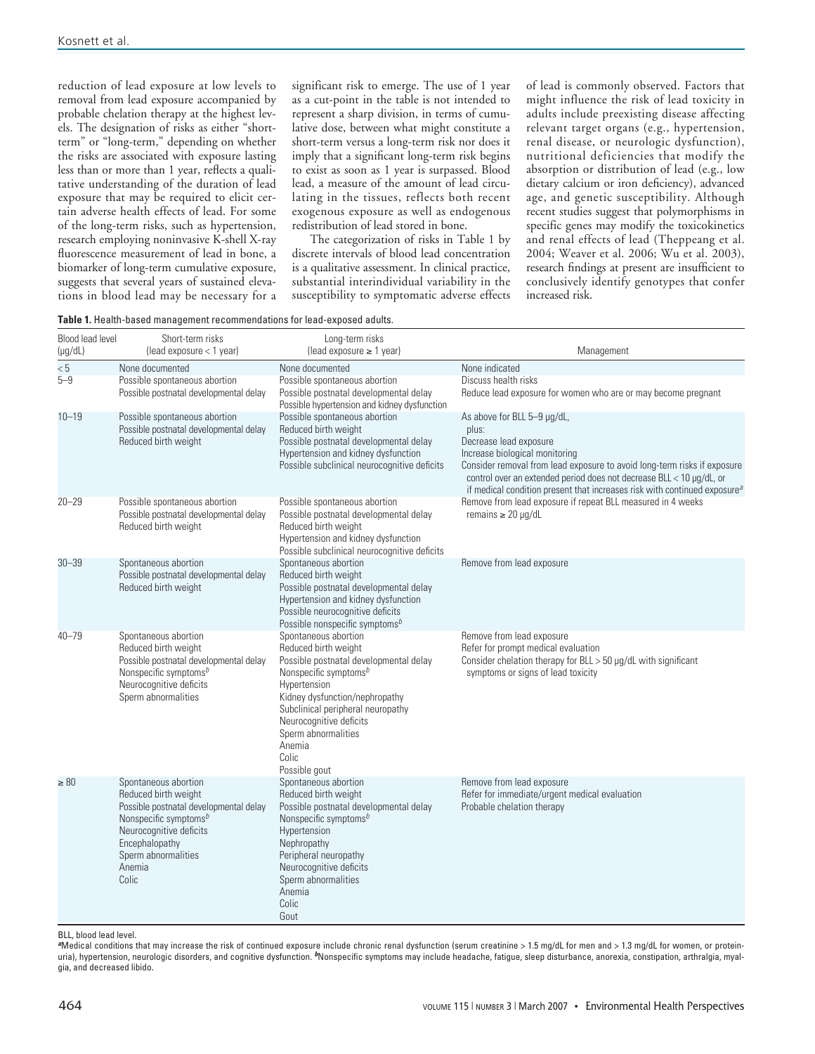reduction of lead exposure at low levels to removal from lead exposure accompanied by probable chelation therapy at the highest levels. The designation of risks as either "shortterm" or "long-term," depending on whether the risks are associated with exposure lasting less than or more than 1 year, reflects a qualitative understanding of the duration of lead exposure that may be required to elicit certain adverse health effects of lead. For some of the long-term risks, such as hypertension, research employing noninvasive K-shell X-ray fluorescence measurement of lead in bone, a biomarker of long-term cumulative exposure, suggests that several years of sustained elevations in blood lead may be necessary for a

significant risk to emerge. The use of 1 year as a cut-point in the table is not intended to represent a sharp division, in terms of cumulative dose, between what might constitute a short-term versus a long-term risk nor does it imply that a significant long-term risk begins to exist as soon as 1 year is surpassed. Blood lead, a measure of the amount of lead circulating in the tissues, reflects both recent exogenous exposure as well as endogenous redistribution of lead stored in bone.

The categorization of risks in Table 1 by discrete intervals of blood lead concentration is a qualitative assessment. In clinical practice, substantial interindividual variability in the susceptibility to symptomatic adverse effects of lead is commonly observed. Factors that might influence the risk of lead toxicity in adults include preexisting disease affecting relevant target organs (e.g., hypertension, renal disease, or neurologic dysfunction), nutritional deficiencies that modify the absorption or distribution of lead (e.g., low dietary calcium or iron deficiency), advanced age, and genetic susceptibility. Although recent studies suggest that polymorphisms in specific genes may modify the toxicokinetics and renal effects of lead (Theppeang et al. 2004; Weaver et al. 2006; Wu et al. 2003), research findings at present are insufficient to conclusively identify genotypes that confer increased risk.

| Table 1. Health-based management recommendations for lead-exposed adults. |  |  |  |
|---------------------------------------------------------------------------|--|--|--|
|---------------------------------------------------------------------------|--|--|--|

| <b>Blood lead level</b><br>$(\mu g/dL)$ | Short-term risks<br>(lead exposure $<$ 1 year)                                                                                                                                                                     | Long-term risks<br>(lead exposure $\geq 1$ year)                                                                                                                                                                                                                                                | Management                                                                                                                                                                                                                                                                                                                                    |
|-----------------------------------------|--------------------------------------------------------------------------------------------------------------------------------------------------------------------------------------------------------------------|-------------------------------------------------------------------------------------------------------------------------------------------------------------------------------------------------------------------------------------------------------------------------------------------------|-----------------------------------------------------------------------------------------------------------------------------------------------------------------------------------------------------------------------------------------------------------------------------------------------------------------------------------------------|
| < 5                                     | None documented                                                                                                                                                                                                    | None documented                                                                                                                                                                                                                                                                                 | None indicated                                                                                                                                                                                                                                                                                                                                |
| $5 - 9$                                 | Possible spontaneous abortion<br>Possible postnatal developmental delay                                                                                                                                            | Possible spontaneous abortion<br>Possible postnatal developmental delay<br>Possible hypertension and kidney dysfunction                                                                                                                                                                         | Discuss health risks<br>Reduce lead exposure for women who are or may become pregnant                                                                                                                                                                                                                                                         |
| $10 - 19$                               | Possible spontaneous abortion<br>Possible postnatal developmental delay<br>Reduced birth weight                                                                                                                    | Possible spontaneous abortion<br>Reduced birth weight<br>Possible postnatal developmental delay<br>Hypertension and kidney dysfunction<br>Possible subclinical neurocognitive deficits                                                                                                          | As above for BLL 5-9 µg/dL,<br>plus:<br>Decrease lead exposure<br>Increase biological monitoring<br>Consider removal from lead exposure to avoid long-term risks if exposure<br>control over an extended period does not decrease BLL < 10 µg/dL, or<br>if medical condition present that increases risk with continued exposure <sup>a</sup> |
| $20 - 29$                               | Possible spontaneous abortion<br>Possible postnatal developmental delay<br>Reduced birth weight                                                                                                                    | Possible spontaneous abortion<br>Possible postnatal developmental delay<br>Reduced birth weight<br>Hypertension and kidney dysfunction<br>Possible subclinical neurocognitive deficits                                                                                                          | Remove from lead exposure if repeat BLL measured in 4 weeks<br>remains $\geq 20 \mu g/dL$                                                                                                                                                                                                                                                     |
| $30 - 39$                               | Spontaneous abortion<br>Possible postnatal developmental delay<br>Reduced birth weight                                                                                                                             | Spontaneous abortion<br>Reduced birth weight<br>Possible postnatal developmental delay<br>Hypertension and kidney dysfunction<br>Possible neurocognitive deficits<br>Possible nonspecific symptoms <sup>b</sup>                                                                                 | Remove from lead exposure                                                                                                                                                                                                                                                                                                                     |
| $40 - 79$                               | Spontaneous abortion<br>Reduced birth weight<br>Possible postnatal developmental delay<br>Nonspecific symptoms <sup>b</sup><br>Neurocognitive deficits<br>Sperm abnormalities                                      | Spontaneous abortion<br>Reduced birth weight<br>Possible postnatal developmental delay<br>Nonspecific symptoms $b$<br>Hypertension<br>Kidney dysfunction/nephropathy<br>Subclinical peripheral neuropathy<br>Neurocognitive deficits<br>Sperm abnormalities<br>Anemia<br>Colic<br>Possible gout | Remove from lead exposure<br>Refer for prompt medical evaluation<br>Consider chelation therapy for BLL > 50 µg/dL with significant<br>symptoms or signs of lead toxicity                                                                                                                                                                      |
| $\geq 80$                               | Spontaneous abortion<br>Reduced birth weight<br>Possible postnatal developmental delay<br>Nonspecific symptoms <sup>b</sup><br>Neurocognitive deficits<br>Encephalopathy<br>Sperm abnormalities<br>Anemia<br>Colic | Spontaneous abortion<br>Reduced birth weight<br>Possible postnatal developmental delay<br>Nonspecific symptoms <sup>b</sup><br>Hypertension<br>Nephropathy<br>Peripheral neuropathy<br>Neurocognitive deficits<br>Sperm abnormalities<br>Anemia<br>Colic<br>Gout                                | Remove from lead exposure<br>Refer for immediate/urgent medical evaluation<br>Probable chelation therapy                                                                                                                                                                                                                                      |

BLL, blood lead level.

**a**Medical conditions that may increase the risk of continued exposure include chronic renal dysfunction (serum creatinine > 1.5 mg/dL for men and > 1.3 mg/dL for women, or proteinuria), hypertension, neurologic disorders, and cognitive dysfunction. <sup>*b*</sup>Nonspecific symptoms may include headache, fatigue, sleep disturbance, anorexia, constipation, arthralgia, myalgia, and decreased libido.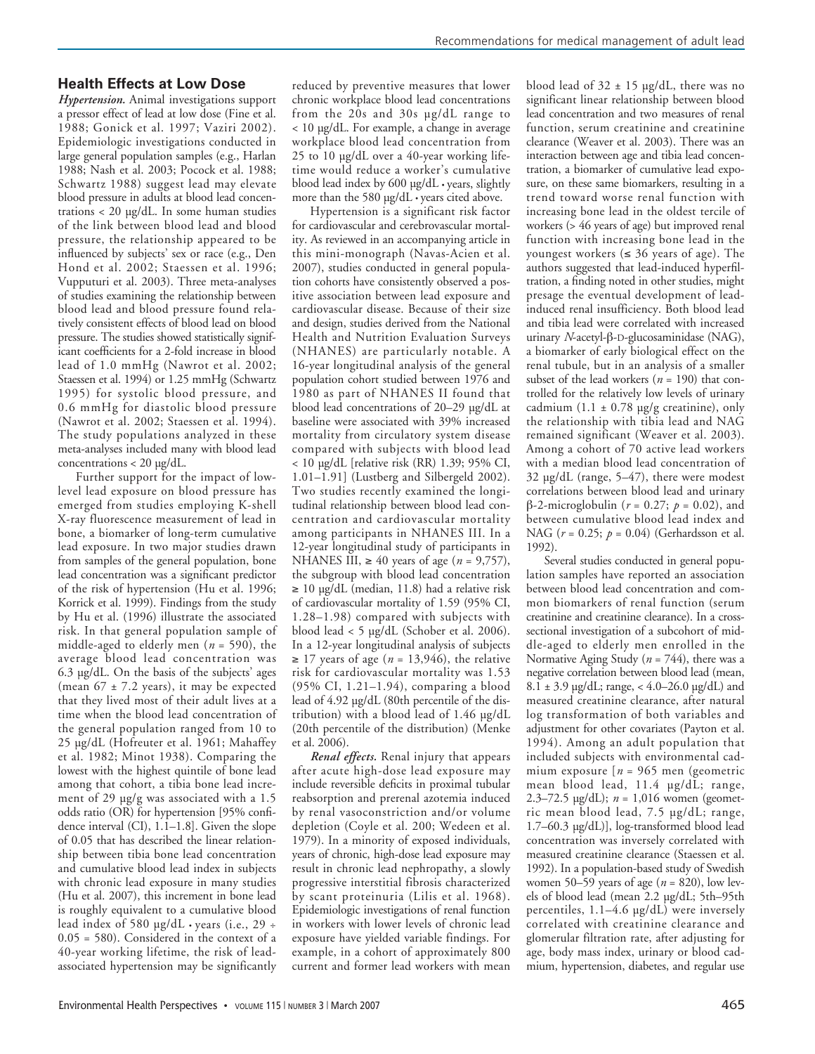#### **Health Effects at Low Dose**

*Hypertension.* Animal investigations support a pressor effect of lead at low dose (Fine et al. 1988; Gonick et al. 1997; Vaziri 2002). Epidemiologic investigations conducted in large general population samples (e.g., Harlan 1988; Nash et al. 2003; Pocock et al. 1988; Schwartz 1988) suggest lead may elevate blood pressure in adults at blood lead concentrations < 20 µg/dL. In some human studies of the link between blood lead and blood pressure, the relationship appeared to be influenced by subjects' sex or race (e.g., Den Hond et al. 2002; Staessen et al. 1996; Vupputuri et al. 2003). Three meta-analyses of studies examining the relationship between blood lead and blood pressure found relatively consistent effects of blood lead on blood pressure. The studies showed statistically significant coefficients for a 2-fold increase in blood lead of 1.0 mmHg (Nawrot et al. 2002; Staessen et al. 1994) or 1.25 mmHg (Schwartz 1995) for systolic blood pressure, and 0.6 mmHg for diastolic blood pressure (Nawrot et al. 2002; Staessen et al. 1994). The study populations analyzed in these meta-analyses included many with blood lead concentrations < 20 µg/dL.

Further support for the impact of lowlevel lead exposure on blood pressure has emerged from studies employing K-shell X-ray fluorescence measurement of lead in bone, a biomarker of long-term cumulative lead exposure. In two major studies drawn from samples of the general population, bone lead concentration was a significant predictor of the risk of hypertension (Hu et al. 1996; Korrick et al. 1999). Findings from the study by Hu et al. (1996) illustrate the associated risk. In that general population sample of middle-aged to elderly men (*n* = 590), the average blood lead concentration was 6.3 µg/dL. On the basis of the subjects' ages (mean  $67 \pm 7.2$  years), it may be expected that they lived most of their adult lives at a time when the blood lead concentration of the general population ranged from 10 to 25 µg/dL (Hofreuter et al. 1961; Mahaffey et al. 1982; Minot 1938). Comparing the lowest with the highest quintile of bone lead among that cohort, a tibia bone lead increment of 29 µg/g was associated with a 1.5 odds ratio (OR) for hypertension [95% confidence interval (CI), 1.1–1.8]. Given the slope of 0.05 that has described the linear relationship between tibia bone lead concentration and cumulative blood lead index in subjects with chronic lead exposure in many studies (Hu et al. 2007), this increment in bone lead is roughly equivalent to a cumulative blood lead index of 580  $\mu$ g/dL • years (i.e., 29 ÷ 0.05 = 580). Considered in the context of a 40-year working lifetime, the risk of leadassociated hypertension may be significantly

reduced by preventive measures that lower chronic workplace blood lead concentrations from the 20s and 30s µg/dL range to < 10 µg/dL. For example, a change in average workplace blood lead concentration from 25 to 10 µg/dL over a 40-year working lifetime would reduce a worker's cumulative blood lead index by 600 µg/dL • years, slightly more than the 580 µg/dL • years cited above.

Hypertension is a significant risk factor for cardiovascular and cerebrovascular mortality. As reviewed in an accompanying article in this mini-monograph (Navas-Acien et al. 2007), studies conducted in general population cohorts have consistently observed a positive association between lead exposure and cardiovascular disease. Because of their size and design, studies derived from the National Health and Nutrition Evaluation Surveys (NHANES) are particularly notable. A 16-year longitudinal analysis of the general population cohort studied between 1976 and 1980 as part of NHANES II found that blood lead concentrations of 20–29 µg/dL at baseline were associated with 39% increased mortality from circulatory system disease compared with subjects with blood lead < 10 µg/dL [relative risk (RR) 1.39; 95% CI, 1.01–1.91] (Lustberg and Silbergeld 2002). Two studies recently examined the longitudinal relationship between blood lead concentration and cardiovascular mortality among participants in NHANES III. In a 12-year longitudinal study of participants in NHANES III, ≥ 40 years of age (*n* = 9,757), the subgroup with blood lead concentration  $\geq 10$  µg/dL (median, 11.8) had a relative risk of cardiovascular mortality of 1.59 (95% CI, 1.28–1.98) compared with subjects with blood lead < 5 µg/dL (Schober et al. 2006). In a 12-year longitudinal analysis of subjects  $\geq$  17 years of age (*n* = 13,946), the relative risk for cardiovascular mortality was 1.53 (95% CI, 1.21–1.94), comparing a blood lead of 4.92 µg/dL (80th percentile of the distribution) with a blood lead of 1.46 µg/dL (20th percentile of the distribution) (Menke et al. 2006).

*Renal effects.* Renal injury that appears after acute high-dose lead exposure may include reversible deficits in proximal tubular reabsorption and prerenal azotemia induced by renal vasoconstriction and/or volume depletion (Coyle et al. 200; Wedeen et al. 1979). In a minority of exposed individuals, years of chronic, high-dose lead exposure may result in chronic lead nephropathy, a slowly progressive interstitial fibrosis characterized by scant proteinuria (Lilis et al. 1968). Epidemiologic investigations of renal function in workers with lower levels of chronic lead exposure have yielded variable findings. For example, in a cohort of approximately 800 current and former lead workers with mean blood lead of  $32 \pm 15$  µg/dL, there was no significant linear relationship between blood lead concentration and two measures of renal function, serum creatinine and creatinine clearance (Weaver et al. 2003). There was an interaction between age and tibia lead concentration, a biomarker of cumulative lead exposure, on these same biomarkers, resulting in a trend toward worse renal function with increasing bone lead in the oldest tercile of workers (> 46 years of age) but improved renal function with increasing bone lead in the youngest workers ( $\leq$  36 years of age). The authors suggested that lead-induced hyperfiltration, a finding noted in other studies, might presage the eventual development of leadinduced renal insufficiency. Both blood lead and tibia lead were correlated with increased urinary *N*-acetyl-β-D-glucosaminidase (NAG), a biomarker of early biological effect on the renal tubule, but in an analysis of a smaller subset of the lead workers (*n* = 190) that controlled for the relatively low levels of urinary cadmium  $(1.1 \pm 0.78 \text{ µg/g creationine})$ , only the relationship with tibia lead and NAG remained significant (Weaver et al. 2003). Among a cohort of 70 active lead workers with a median blood lead concentration of 32 µg/dL (range, 5–47), there were modest correlations between blood lead and urinary β-2-microglobulin (*r* = 0.27; *p* = 0.02), and between cumulative blood lead index and NAG (*r* = 0.25; *p* = 0.04) (Gerhardsson et al. 1992).

Several studies conducted in general population samples have reported an association between blood lead concentration and common biomarkers of renal function (serum creatinine and creatinine clearance). In a crosssectional investigation of a subcohort of middle-aged to elderly men enrolled in the Normative Aging Study (*n* = 744), there was a negative correlation between blood lead (mean,  $8.1 \pm 3.9 \,\mu g/dL$ ; range, < 4.0–26.0  $\mu g/dL$ ) and measured creatinine clearance, after natural log transformation of both variables and adjustment for other covariates (Payton et al. 1994). Among an adult population that included subjects with environmental cadmium exposure [*n* = 965 men (geometric mean blood lead, 11.4 µg/dL; range, 2.3–72.5 µg/dL); *n* = 1,016 women (geometric mean blood lead, 7.5 µg/dL; range, 1.7–60.3 µg/dL)], log-transformed blood lead concentration was inversely correlated with measured creatinine clearance (Staessen et al. 1992). In a population-based study of Swedish women 50–59 years of age (*n* = 820), low levels of blood lead (mean 2.2 µg/dL; 5th–95th percentiles, 1.1–4.6 µg/dL) were inversely correlated with creatinine clearance and glomerular filtration rate, after adjusting for age, body mass index, urinary or blood cadmium, hypertension, diabetes, and regular use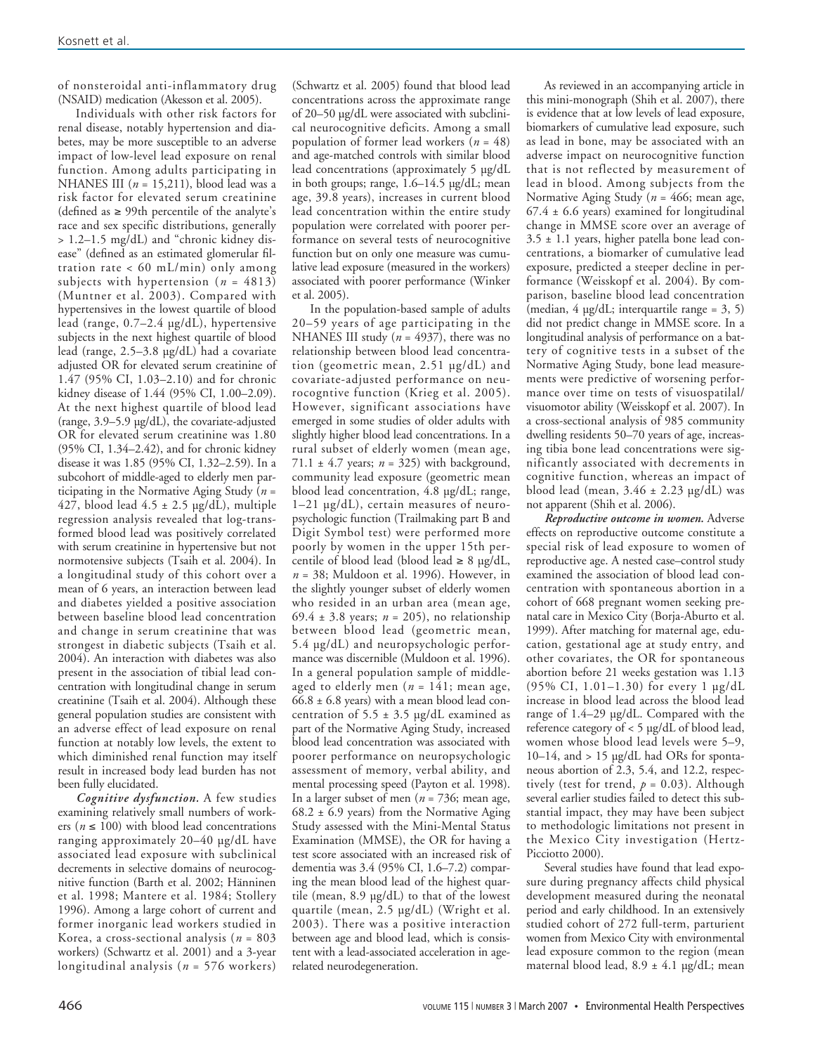of nonsteroidal anti-inflammatory drug (NSAID) medication (Akesson et al. 2005).

Individuals with other risk factors for renal disease, notably hypertension and diabetes, may be more susceptible to an adverse impact of low-level lead exposure on renal function. Among adults participating in NHANES III (*n* = 15,211), blood lead was a risk factor for elevated serum creatinine (defined as  $\geq$  99th percentile of the analyte's race and sex specific distributions, generally > 1.2–1.5 mg/dL) and "chronic kidney disease" (defined as an estimated glomerular filtration rate  $< 60$  mL/min) only among subjects with hypertension (*n* = 4813) (Muntner et al. 2003). Compared with hypertensives in the lowest quartile of blood lead (range, 0.7–2.4 µg/dL), hypertensive subjects in the next highest quartile of blood lead (range, 2.5–3.8 µg/dL) had a covariate adjusted OR for elevated serum creatinine of 1.47 (95% CI, 1.03–2.10) and for chronic kidney disease of 1.44 (95% CI, 1.00–2.09). At the next highest quartile of blood lead (range, 3.9–5.9 µg/dL), the covariate-adjusted OR for elevated serum creatinine was 1.80 (95% CI, 1.34–2.42), and for chronic kidney disease it was 1.85 (95% CI, 1.32–2.59). In a subcohort of middle-aged to elderly men participating in the Normative Aging Study (*n* = 427, blood lead  $4.5 \pm 2.5$  µg/dL), multiple regression analysis revealed that log-transformed blood lead was positively correlated with serum creatinine in hypertensive but not normotensive subjects (Tsaih et al. 2004). In a longitudinal study of this cohort over a mean of 6 years, an interaction between lead and diabetes yielded a positive association between baseline blood lead concentration and change in serum creatinine that was strongest in diabetic subjects (Tsaih et al. 2004). An interaction with diabetes was also present in the association of tibial lead concentration with longitudinal change in serum creatinine (Tsaih et al. 2004). Although these general population studies are consistent with an adverse effect of lead exposure on renal function at notably low levels, the extent to which diminished renal function may itself result in increased body lead burden has not been fully elucidated.

*Cognitive dysfunction.* A few studies examining relatively small numbers of workers ( $n \le 100$ ) with blood lead concentrations ranging approximately 20–40 µg/dL have associated lead exposure with subclinical decrements in selective domains of neurocognitive function (Barth et al. 2002; Hänninen et al. 1998; Mantere et al. 1984; Stollery 1996). Among a large cohort of current and former inorganic lead workers studied in Korea, a cross-sectional analysis (*n* = 803 workers) (Schwartz et al. 2001) and a 3-year longitudinal analysis (*n* = 576 workers) (Schwartz et al. 2005) found that blood lead concentrations across the approximate range of 20–50 µg/dL were associated with subclinical neurocognitive deficits. Among a small population of former lead workers (*n* = 48) and age-matched controls with similar blood lead concentrations (approximately 5 µg/dL in both groups; range, 1.6–14.5 µg/dL; mean age, 39.8 years), increases in current blood lead concentration within the entire study population were correlated with poorer performance on several tests of neurocognitive function but on only one measure was cumulative lead exposure (measured in the workers) associated with poorer performance (Winker et al. 2005).

In the population-based sample of adults 20–59 years of age participating in the NHANES III study (*n* = 4937), there was no relationship between blood lead concentration (geometric mean, 2.51 µg/dL) and covariate-adjusted performance on neurocogntive function (Krieg et al. 2005). However, significant associations have emerged in some studies of older adults with slightly higher blood lead concentrations. In a rural subset of elderly women (mean age, 71.1 ± 4.7 years; *n* = 325) with background, community lead exposure (geometric mean blood lead concentration, 4.8 µg/dL; range, 1–21 µg/dL), certain measures of neuropsychologic function (Trailmaking part B and Digit Symbol test) were performed more poorly by women in the upper 15th percentile of blood lead (blood lead  $\geq 8$  µg/dL, *n* = 38; Muldoon et al. 1996). However, in the slightly younger subset of elderly women who resided in an urban area (mean age, 69.4 ± 3.8 years; *n* = 205), no relationship between blood lead (geometric mean, 5.4 µg/dL) and neuropsychologic performance was discernible (Muldoon et al. 1996). In a general population sample of middleaged to elderly men  $(n = 141;$  mean age,  $66.8 \pm 6.8$  years) with a mean blood lead concentration of  $5.5 \pm 3.5$  µg/dL examined as part of the Normative Aging Study, increased blood lead concentration was associated with poorer performance on neuropsychologic assessment of memory, verbal ability, and mental processing speed (Payton et al. 1998). In a larger subset of men (*n* = 736; mean age,  $68.2 \pm 6.9$  years) from the Normative Aging Study assessed with the Mini-Mental Status Examination (MMSE), the OR for having a test score associated with an increased risk of dementia was 3.4 (95% CI, 1.6–7.2) comparing the mean blood lead of the highest quartile (mean, 8.9 µg/dL) to that of the lowest quartile (mean, 2.5 µg/dL) (Wright et al. 2003). There was a positive interaction between age and blood lead, which is consistent with a lead-associated acceleration in agerelated neurodegeneration.

As reviewed in an accompanying article in this mini-monograph (Shih et al. 2007), there is evidence that at low levels of lead exposure, biomarkers of cumulative lead exposure, such as lead in bone, may be associated with an adverse impact on neurocognitive function that is not reflected by measurement of lead in blood. Among subjects from the Normative Aging Study (*n* = 466; mean age,  $67.4 \pm 6.6$  years) examined for longitudinal change in MMSE score over an average of 3.5 ± 1.1 years, higher patella bone lead concentrations, a biomarker of cumulative lead exposure, predicted a steeper decline in performance (Weisskopf et al. 2004). By comparison, baseline blood lead concentration (median,  $4 \mu g/dL$ ; interquartile range = 3, 5) did not predict change in MMSE score. In a longitudinal analysis of performance on a battery of cognitive tests in a subset of the Normative Aging Study, bone lead measurements were predictive of worsening performance over time on tests of visuospatilal/ visuomotor ability (Weisskopf et al. 2007). In a cross-sectional analysis of 985 community dwelling residents 50–70 years of age, increasing tibia bone lead concentrations were significantly associated with decrements in cognitive function, whereas an impact of blood lead (mean,  $3.46 \pm 2.23 \mu g/dL$ ) was not apparent (Shih et al. 2006).

*Reproductive outcome in women.* Adverse effects on reproductive outcome constitute a special risk of lead exposure to women of reproductive age. A nested case–control study examined the association of blood lead concentration with spontaneous abortion in a cohort of 668 pregnant women seeking prenatal care in Mexico City (Borja-Aburto et al. 1999). After matching for maternal age, education, gestational age at study entry, and other covariates, the OR for spontaneous abortion before 21 weeks gestation was 1.13 (95% CI, 1.01–1.30) for every 1 µg/dL increase in blood lead across the blood lead range of 1.4–29 µg/dL. Compared with the reference category of < 5 µg/dL of blood lead, women whose blood lead levels were 5–9,  $10-14$ , and  $> 15 \mu g/dL$  had ORs for spontaneous abortion of 2.3, 5.4, and 12.2, respectively (test for trend,  $p = 0.03$ ). Although several earlier studies failed to detect this substantial impact, they may have been subject to methodologic limitations not present in the Mexico City investigation (Hertz-Picciotto 2000).

Several studies have found that lead exposure during pregnancy affects child physical development measured during the neonatal period and early childhood. In an extensively studied cohort of 272 full-term, parturient women from Mexico City with environmental lead exposure common to the region (mean maternal blood lead,  $8.9 \pm 4.1$  µg/dL; mean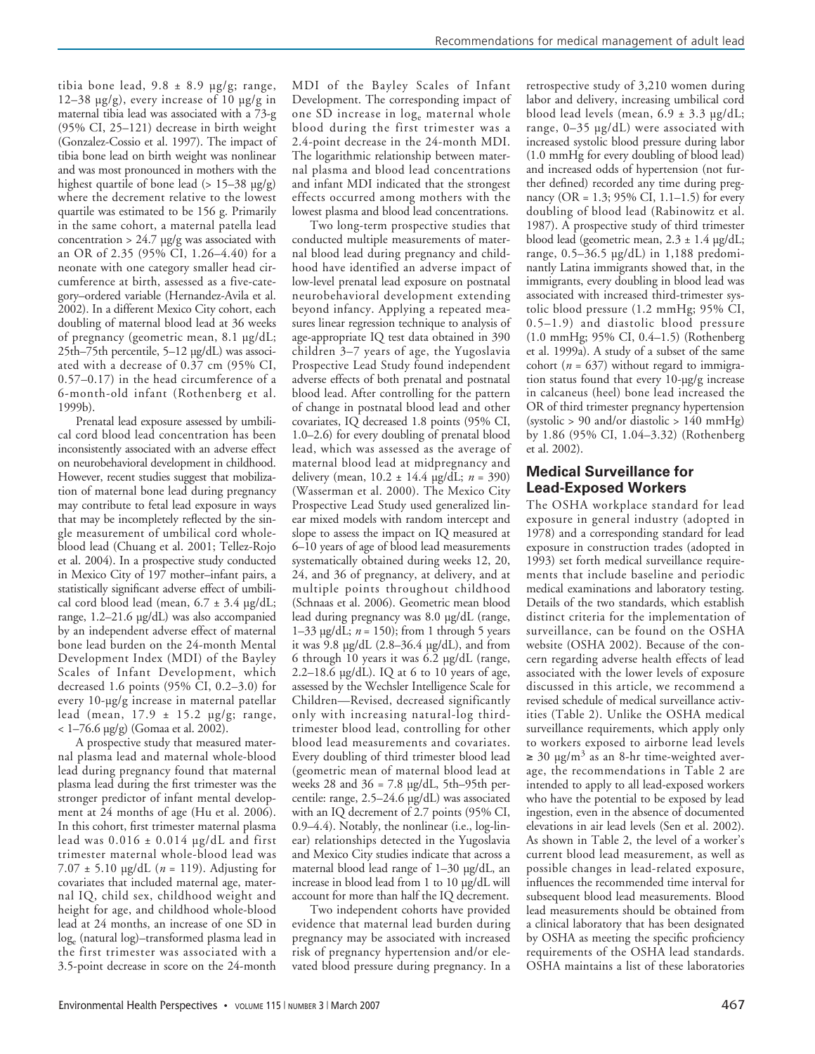tibia bone lead,  $9.8 \pm 8.9$  µg/g; range, 12–38  $\mu$ g/g), every increase of 10  $\mu$ g/g in maternal tibia lead was associated with a 73-g (95% CI, 25–121) decrease in birth weight (Gonzalez-Cossio et al. 1997). The impact of tibia bone lead on birth weight was nonlinear and was most pronounced in mothers with the highest quartile of bone lead ( $> 15-38 \text{ µg/g}$ ) where the decrement relative to the lowest quartile was estimated to be 156 g. Primarily in the same cohort, a maternal patella lead concentration  $> 24.7$  µg/g was associated with an OR of 2.35 (95% CI, 1.26–4.40) for a neonate with one category smaller head circumference at birth, assessed as a five-category–ordered variable (Hernandez-Avila et al. 2002). In a different Mexico City cohort, each doubling of maternal blood lead at 36 weeks of pregnancy (geometric mean, 8.1 µg/dL; 25th–75th percentile, 5–12 µg/dL) was associated with a decrease of 0.37 cm (95% CI, 0.57–0.17) in the head circumference of a 6-month-old infant (Rothenberg et al. 1999b).

Prenatal lead exposure assessed by umbilical cord blood lead concentration has been inconsistently associated with an adverse effect on neurobehavioral development in childhood. However, recent studies suggest that mobilization of maternal bone lead during pregnancy may contribute to fetal lead exposure in ways that may be incompletely reflected by the single measurement of umbilical cord wholeblood lead (Chuang et al. 2001; Tellez-Rojo et al. 2004). In a prospective study conducted in Mexico City of 197 mother–infant pairs, a statistically significant adverse effect of umbilical cord blood lead (mean,  $6.7 \pm 3.4$  µg/dL; range, 1.2–21.6 µg/dL) was also accompanied by an independent adverse effect of maternal bone lead burden on the 24-month Mental Development Index (MDI) of the Bayley Scales of Infant Development, which decreased 1.6 points (95% CI, 0.2–3.0) for every 10-µg/g increase in maternal patellar lead (mean, 17.9 ± 15.2 µg/g; range, < 1–76.6 µg/g) (Gomaa et al. 2002).

A prospective study that measured maternal plasma lead and maternal whole-blood lead during pregnancy found that maternal plasma lead during the first trimester was the stronger predictor of infant mental development at 24 months of age (Hu et al. 2006). In this cohort, first trimester maternal plasma lead was 0.016 ± 0.014 µg/dL and first trimester maternal whole-blood lead was 7.07 ± 5.10 µg/dL (*n* = 119). Adjusting for covariates that included maternal age, maternal IQ, child sex, childhood weight and height for age, and childhood whole-blood lead at 24 months, an increase of one SD in loge (natural log)–transformed plasma lead in the first trimester was associated with a 3.5-point decrease in score on the 24-month MDI of the Bayley Scales of Infant Development. The corresponding impact of one SD increase in loge maternal whole blood during the first trimester was a 2.4-point decrease in the 24-month MDI. The logarithmic relationship between maternal plasma and blood lead concentrations and infant MDI indicated that the strongest effects occurred among mothers with the lowest plasma and blood lead concentrations.

Two long-term prospective studies that conducted multiple measurements of maternal blood lead during pregnancy and childhood have identified an adverse impact of low-level prenatal lead exposure on postnatal neurobehavioral development extending beyond infancy. Applying a repeated measures linear regression technique to analysis of age-appropriate IQ test data obtained in 390 children 3–7 years of age, the Yugoslavia Prospective Lead Study found independent adverse effects of both prenatal and postnatal blood lead. After controlling for the pattern of change in postnatal blood lead and other covariates, IQ decreased 1.8 points (95% CI, 1.0–2.6) for every doubling of prenatal blood lead, which was assessed as the average of maternal blood lead at midpregnancy and delivery (mean, 10.2 ± 14.4 µg/dL; *n* = 390) (Wasserman et al. 2000). The Mexico City Prospective Lead Study used generalized linear mixed models with random intercept and slope to assess the impact on IQ measured at 6–10 years of age of blood lead measurements systematically obtained during weeks 12, 20, 24, and 36 of pregnancy, at delivery, and at multiple points throughout childhood (Schnaas et al. 2006). Geometric mean blood lead during pregnancy was 8.0 µg/dL (range, 1–33 µg/dL; *n* = 150); from 1 through 5 years it was 9.8 µg/dL (2.8–36.4 µg/dL), and from 6 through 10 years it was 6.2 µg/dL (range, 2.2–18.6 µg/dL). IQ at 6 to 10 years of age, assessed by the Wechsler Intelligence Scale for Children—Revised, decreased significantly only with increasing natural-log thirdtrimester blood lead, controlling for other blood lead measurements and covariates. Every doubling of third trimester blood lead (geometric mean of maternal blood lead at weeks 28 and  $36 = 7.8 \text{ µg/dL}$ , 5th–95th percentile: range, 2.5–24.6 µg/dL) was associated with an IQ decrement of 2.7 points (95% CI, 0.9–4.4). Notably, the nonlinear (i.e., log-linear) relationships detected in the Yugoslavia and Mexico City studies indicate that across a maternal blood lead range of 1–30 µg/dL, an increase in blood lead from 1 to 10 µg/dL will account for more than half the IQ decrement.

Two independent cohorts have provided evidence that maternal lead burden during pregnancy may be associated with increased risk of pregnancy hypertension and/or elevated blood pressure during pregnancy. In a

retrospective study of 3,210 women during labor and delivery, increasing umbilical cord blood lead levels (mean,  $6.9 \pm 3.3 \text{ µg/dL}$ ; range, 0–35 µg/dL) were associated with increased systolic blood pressure during labor (1.0 mmHg for every doubling of blood lead) and increased odds of hypertension (not further defined) recorded any time during pregnancy (OR = 1.3; 95% CI, 1.1–1.5) for every doubling of blood lead (Rabinowitz et al. 1987). A prospective study of third trimester blood lead (geometric mean, 2.3 ± 1.4 µg/dL; range, 0.5–36.5 µg/dL) in 1,188 predominantly Latina immigrants showed that, in the immigrants, every doubling in blood lead was associated with increased third-trimester systolic blood pressure (1.2 mmHg; 95% CI, 0.5–1.9) and diastolic blood pressure (1.0 mmHg; 95% CI, 0.4–1.5) (Rothenberg et al. 1999a). A study of a subset of the same cohort ( $n = 637$ ) without regard to immigration status found that every 10-µg/g increase in calcaneus (heel) bone lead increased the OR of third trimester pregnancy hypertension (systolic > 90 and/or diastolic > 140 mmHg) by 1.86 (95% CI, 1.04–3.32) (Rothenberg et al. 2002).

## **Medical Surveillance for Lead-Exposed Workers**

The OSHA workplace standard for lead exposure in general industry (adopted in 1978) and a corresponding standard for lead exposure in construction trades (adopted in 1993) set forth medical surveillance requirements that include baseline and periodic medical examinations and laboratory testing. Details of the two standards, which establish distinct criteria for the implementation of surveillance, can be found on the OSHA website (OSHA 2002). Because of the concern regarding adverse health effects of lead associated with the lower levels of exposure discussed in this article, we recommend a revised schedule of medical surveillance activities (Table 2). Unlike the OSHA medical surveillance requirements, which apply only to workers exposed to airborne lead levels  $\geq$  30 µg/m<sup>3</sup> as an 8-hr time-weighted average, the recommendations in Table 2 are intended to apply to all lead-exposed workers who have the potential to be exposed by lead ingestion, even in the absence of documented elevations in air lead levels (Sen et al. 2002). As shown in Table 2, the level of a worker's current blood lead measurement, as well as possible changes in lead-related exposure, influences the recommended time interval for subsequent blood lead measurements. Blood lead measurements should be obtained from a clinical laboratory that has been designated by OSHA as meeting the specific proficiency requirements of the OSHA lead standards. OSHA maintains a list of these laboratories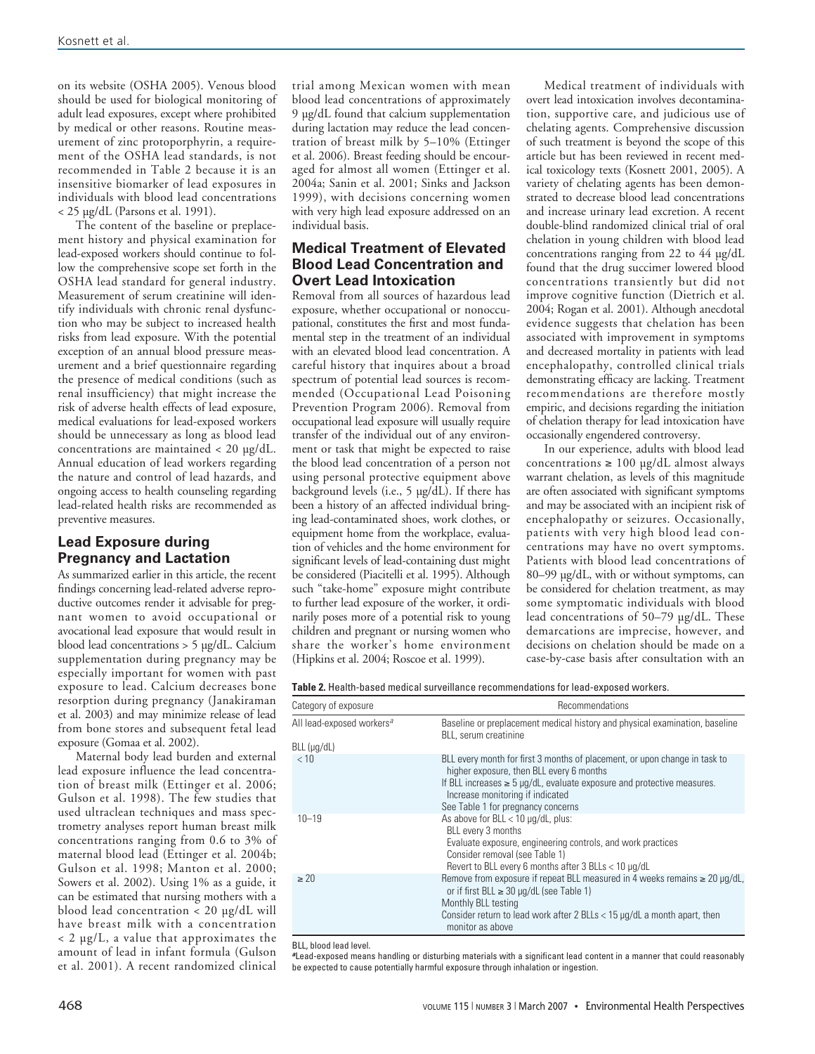on its website (OSHA 2005). Venous blood should be used for biological monitoring of adult lead exposures, except where prohibited by medical or other reasons. Routine measurement of zinc protoporphyrin, a requirement of the OSHA lead standards, is not recommended in Table 2 because it is an insensitive biomarker of lead exposures in individuals with blood lead concentrations < 25 µg/dL (Parsons et al. 1991).

The content of the baseline or preplacement history and physical examination for lead-exposed workers should continue to follow the comprehensive scope set forth in the OSHA lead standard for general industry. Measurement of serum creatinine will identify individuals with chronic renal dysfunction who may be subject to increased health risks from lead exposure. With the potential exception of an annual blood pressure measurement and a brief questionnaire regarding the presence of medical conditions (such as renal insufficiency) that might increase the risk of adverse health effects of lead exposure, medical evaluations for lead-exposed workers should be unnecessary as long as blood lead concentrations are maintained < 20 µg/dL. Annual education of lead workers regarding the nature and control of lead hazards, and ongoing access to health counseling regarding lead-related health risks are recommended as preventive measures.

### **Lead Exposure during Pregnancy and Lactation**

As summarized earlier in this article, the recent findings concerning lead-related adverse reproductive outcomes render it advisable for pregnant women to avoid occupational or avocational lead exposure that would result in blood lead concentrations > 5 µg/dL. Calcium supplementation during pregnancy may be especially important for women with past exposure to lead. Calcium decreases bone resorption during pregnancy (Janakiraman et al. 2003) and may minimize release of lead from bone stores and subsequent fetal lead exposure (Gomaa et al. 2002).

Maternal body lead burden and external lead exposure influence the lead concentration of breast milk (Ettinger et al. 2006; Gulson et al. 1998). The few studies that used ultraclean techniques and mass spectrometry analyses report human breast milk concentrations ranging from 0.6 to 3% of maternal blood lead (Ettinger et al. 2004b; Gulson et al. 1998; Manton et al. 2000; Sowers et al. 2002). Using 1% as a guide, it can be estimated that nursing mothers with a blood lead concentration < 20 µg/dL will have breast milk with a concentration  $< 2 \mu g/L$ , a value that approximates the amount of lead in infant formula (Gulson et al. 2001). A recent randomized clinical

trial among Mexican women with mean blood lead concentrations of approximately 9 µg/dL found that calcium supplementation during lactation may reduce the lead concentration of breast milk by 5–10% (Ettinger et al. 2006). Breast feeding should be encouraged for almost all women (Ettinger et al. 2004a; Sanin et al. 2001; Sinks and Jackson 1999), with decisions concerning women with very high lead exposure addressed on an individual basis.

#### **Medical Treatment of Elevated Blood Lead Concentration and Overt Lead Intoxication**

Removal from all sources of hazardous lead exposure, whether occupational or nonoccupational, constitutes the first and most fundamental step in the treatment of an individual with an elevated blood lead concentration. A careful history that inquires about a broad spectrum of potential lead sources is recommended (Occupational Lead Poisoning Prevention Program 2006). Removal from occupational lead exposure will usually require transfer of the individual out of any environment or task that might be expected to raise the blood lead concentration of a person not using personal protective equipment above background levels (i.e., 5 µg/dL). If there has been a history of an affected individual bringing lead-contaminated shoes, work clothes, or equipment home from the workplace, evaluation of vehicles and the home environment for significant levels of lead-containing dust might be considered (Piacitelli et al. 1995). Although such "take-home" exposure might contribute to further lead exposure of the worker, it ordinarily poses more of a potential risk to young children and pregnant or nursing women who share the worker's home environment (Hipkins et al. 2004; Roscoe et al. 1999).

Medical treatment of individuals with overt lead intoxication involves decontamination, supportive care, and judicious use of chelating agents. Comprehensive discussion of such treatment is beyond the scope of this article but has been reviewed in recent medical toxicology texts (Kosnett 2001, 2005). A variety of chelating agents has been demonstrated to decrease blood lead concentrations and increase urinary lead excretion. A recent double-blind randomized clinical trial of oral chelation in young children with blood lead concentrations ranging from 22 to 44 µg/dL found that the drug succimer lowered blood concentrations transiently but did not improve cognitive function (Dietrich et al. 2004; Rogan et al. 2001). Although anecdotal evidence suggests that chelation has been associated with improvement in symptoms and decreased mortality in patients with lead encephalopathy, controlled clinical trials demonstrating efficacy are lacking. Treatment recommendations are therefore mostly empiric, and decisions regarding the initiation of chelation therapy for lead intoxication have occasionally engendered controversy.

In our experience, adults with blood lead concentrations  $\geq 100 \mu g/dL$  almost always warrant chelation, as levels of this magnitude are often associated with significant symptoms and may be associated with an incipient risk of encephalopathy or seizures. Occasionally, patients with very high blood lead concentrations may have no overt symptoms. Patients with blood lead concentrations of 80–99 µg/dL, with or without symptoms, can be considered for chelation treatment, as may some symptomatic individuals with blood lead concentrations of 50–79 µg/dL. These demarcations are imprecise, however, and decisions on chelation should be made on a case-by-case basis after consultation with an

**Table 2.** Health-based medical surveillance recommendations for lead-exposed workers.

| Category of exposure                  | <b>Recommendations</b>                                                                                                                                                                                                   |
|---------------------------------------|--------------------------------------------------------------------------------------------------------------------------------------------------------------------------------------------------------------------------|
| All lead-exposed workers <sup>a</sup> | Baseline or preplacement medical history and physical examination, baseline<br>BLL, serum creatinine                                                                                                                     |
| $BLL$ (µg/dL)                         |                                                                                                                                                                                                                          |
| < 10                                  | BLL every month for first 3 months of placement, or upon change in task to<br>higher exposure, then BLL every 6 months                                                                                                   |
|                                       | If BLL increases $\geq 5$ µg/dL, evaluate exposure and protective measures.<br>Increase monitoring if indicated                                                                                                          |
|                                       | See Table 1 for pregnancy concerns                                                                                                                                                                                       |
| $10 - 19$                             | As above for BLL < 10 µg/dL, plus:<br>BLL every 3 months<br>Evaluate exposure, engineering controls, and work practices<br>Consider removal (see Table 1)<br>Revert to BLL every 6 months after $3$ BLLs < $10 \mu q/dL$ |
| $\geq 20$                             | Remove from exposure if repeat BLL measured in 4 weeks remains $\geq 20 \mu q/dL$ ,<br>or if first $BLL \geq 30 \mu q/dL$ (see Table 1)                                                                                  |
|                                       | Monthly BLL testing                                                                                                                                                                                                      |
|                                       | Consider return to lead work after 2 BLLs < $15 \mu q/dL$ a month apart, then<br>monitor as above                                                                                                                        |

BLL, blood lead level.

**<sup>a</sup>**Lead-exposed means handling or disturbing materials with a significant lead content in a manner that could reasonably be expected to cause potentially harmful exposure through inhalation or ingestion.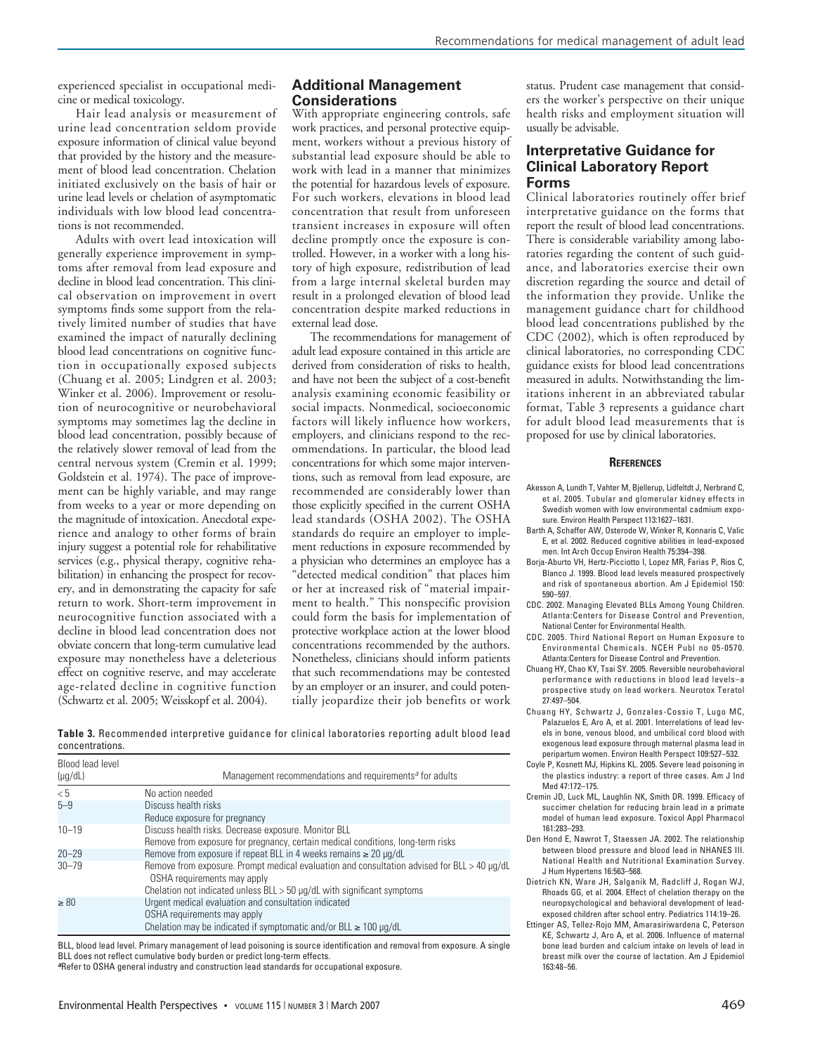experienced specialist in occupational medicine or medical toxicology.

Hair lead analysis or measurement of urine lead concentration seldom provide exposure information of clinical value beyond that provided by the history and the measurement of blood lead concentration. Chelation initiated exclusively on the basis of hair or urine lead levels or chelation of asymptomatic individuals with low blood lead concentrations is not recommended.

Adults with overt lead intoxication will generally experience improvement in symptoms after removal from lead exposure and decline in blood lead concentration. This clinical observation on improvement in overt symptoms finds some support from the relatively limited number of studies that have examined the impact of naturally declining blood lead concentrations on cognitive function in occupationally exposed subjects (Chuang et al. 2005; Lindgren et al. 2003; Winker et al. 2006). Improvement or resolution of neurocognitive or neurobehavioral symptoms may sometimes lag the decline in blood lead concentration, possibly because of the relatively slower removal of lead from the central nervous system (Cremin et al. 1999; Goldstein et al. 1974). The pace of improvement can be highly variable, and may range from weeks to a year or more depending on the magnitude of intoxication. Anecdotal experience and analogy to other forms of brain injury suggest a potential role for rehabilitative services (e.g., physical therapy, cognitive rehabilitation) in enhancing the prospect for recovery, and in demonstrating the capacity for safe return to work. Short-term improvement in neurocognitive function associated with a decline in blood lead concentration does not obviate concern that long-term cumulative lead exposure may nonetheless have a deleterious effect on cognitive reserve, and may accelerate age-related decline in cognitive function (Schwartz et al. 2005; Weisskopf et al. 2004).

#### **Additional Management Considerations**

With appropriate engineering controls, safe work practices, and personal protective equipment, workers without a previous history of substantial lead exposure should be able to work with lead in a manner that minimizes the potential for hazardous levels of exposure. For such workers, elevations in blood lead concentration that result from unforeseen transient increases in exposure will often decline promptly once the exposure is controlled. However, in a worker with a long history of high exposure, redistribution of lead from a large internal skeletal burden may result in a prolonged elevation of blood lead concentration despite marked reductions in external lead dose.

The recommendations for management of adult lead exposure contained in this article are derived from consideration of risks to health, and have not been the subject of a cost-benefit analysis examining economic feasibility or social impacts. Nonmedical, socioeconomic factors will likely influence how workers, employers, and clinicians respond to the recommendations. In particular, the blood lead concentrations for which some major interventions, such as removal from lead exposure, are recommended are considerably lower than those explicitly specified in the current OSHA lead standards (OSHA 2002). The OSHA standards do require an employer to implement reductions in exposure recommended by a physician who determines an employee has a "detected medical condition" that places him or her at increased risk of "material impairment to health." This nonspecific provision could form the basis for implementation of protective workplace action at the lower blood concentrations recommended by the authors. Nonetheless, clinicians should inform patients that such recommendations may be contested by an employer or an insurer, and could potentially jeopardize their job benefits or work

status. Prudent case management that considers the worker's perspective on their unique health risks and employment situation will usually be advisable.

#### **Interpretative Guidance for Clinical Laboratory Report Forms**

Clinical laboratories routinely offer brief interpretative guidance on the forms that report the result of blood lead concentrations. There is considerable variability among laboratories regarding the content of such guidance, and laboratories exercise their own discretion regarding the source and detail of the information they provide. Unlike the management guidance chart for childhood blood lead concentrations published by the CDC (2002), which is often reproduced by clinical laboratories, no corresponding CDC guidance exists for blood lead concentrations measured in adults. Notwithstanding the limitations inherent in an abbreviated tabular format, Table 3 represents a guidance chart for adult blood lead measurements that is proposed for use by clinical laboratories.

#### **REFERENCES**

- Akesson A, Lundh T, Vahter M, Bjellerup, Lidfeltdt J, Nerbrand C, et al. 2005. Tubular and glomerular kidney effects in Swedish women with low environmental cadmium exposure. Environ Health Perspect 113:1627–1631.
- Barth A, Schaffer AW, Osterode W, Winker R, Konnaris C, Valic E, et al. 2002. Reduced cognitive abilities in lead-exposed men. Int Arch Occup Environ Health 75:394–398.
- Borja-Aburto VH, Hertz-Picciotto I, Lopez MR, Farias P, Rios C, Blanco J. 1999. Blood lead levels measured prospectively and risk of spontaneous abortion. Am J Epidemiol 150: 590–597.
- CDC. 2002. Managing Elevated BLLs Among Young Children. Atlanta:Centers for Disease Control and Prevention, National Center for Environmental Health.
- CDC. 2005. Third National Report on Human Exposure to Environmental Chemicals. NCEH Publ no 05-0570. Atlanta:Centers for Disease Control and Prevention.
- Chuang HY, Chao KY, Tsai SY. 2005. Reversible neurobehavioral performance with reductions in blood lead levels–a prospective study on lead workers. Neurotox Teratol 27:497–504.
- Chuang HY, Schwartz J, Gonzales-Cossio T, Lugo MC, Palazuelos E, Aro A, et al. 2001. Interrelations of lead levels in bone, venous blood, and umbilical cord blood with exogenous lead exposure through maternal plasma lead in peripartum women. Environ Health Perspect 109:527–532.
- Coyle P, Kosnett MJ, Hipkins KL. 2005. Severe lead poisoning in the plastics industry: a report of three cases. Am J Ind Med 47:172–175.
- Cremin JD, Luck ML, Laughlin NK, Smith DR. 1999. Efficacy of succimer chelation for reducing brain lead in a primate model of human lead exposure. Toxicol Appl Pharmacol 161:283–293.
- Den Hond E, Nawrot T, Staessen JA. 2002. The relationship between blood pressure and blood lead in NHANES III. National Health and Nutritional Examination Survey. J Hum Hypertens 16:563–568.
- Dietrich KN, Ware JH, Salganik M, Radcliff J, Rogan WJ, Rhoads GG, et al. 2004. Effect of chelation therapy on the neuropsychological and behavioral development of leadexposed children after school entry. Pediatrics 114:19–26.
- Ettinger AS, Tellez-Rojo MM, Amarasiriwardena C, Peterson KE, Schwartz J, Aro A, et al. 2006. Influence of maternal bone lead burden and calcium intake on levels of lead in breast milk over the course of lactation. Am J Epidemiol 163:48–56.

**Table 3.** Recommended interpretive guidance for clinical laboratories reporting adult blood lead concentrations.

| Blood lead level<br>$(\mu g/dL)$ | Management recommendations and requirements <sup>a</sup> for adults                                                        |
|----------------------------------|----------------------------------------------------------------------------------------------------------------------------|
| < 5                              | No action needed                                                                                                           |
| $5 - 9$                          | Discuss health risks                                                                                                       |
|                                  | Reduce exposure for pregnancy                                                                                              |
| $10 - 19$                        | Discuss health risks. Decrease exposure. Monitor BLL                                                                       |
|                                  | Remove from exposure for pregnancy, certain medical conditions, long-term risks                                            |
| $20 - 29$                        | Remove from exposure if repeat BLL in 4 weeks remains $\geq 20 \mu q/dL$                                                   |
| $30 - 79$                        | Remove from exposure. Prompt medical evaluation and consultation advised for BLL > 40 µg/dL<br>OSHA requirements may apply |
|                                  | Chelation not indicated unless $BLL > 50 \mu q/dL$ with significant symptoms                                               |
| $\geq 80$                        | Urgent medical evaluation and consultation indicated                                                                       |
|                                  | OSHA requirements may apply                                                                                                |
|                                  | Chelation may be indicated if symptomatic and/or BLL $\geq 100 \mu q/dL$                                                   |

BLL, blood lead level. Primary management of lead poisoning is source identification and removal from exposure. A single BLL does not reflect cumulative body burden or predict long-term effects. **a**Refer to OSHA general industry and construction lead standards for occupational exposure.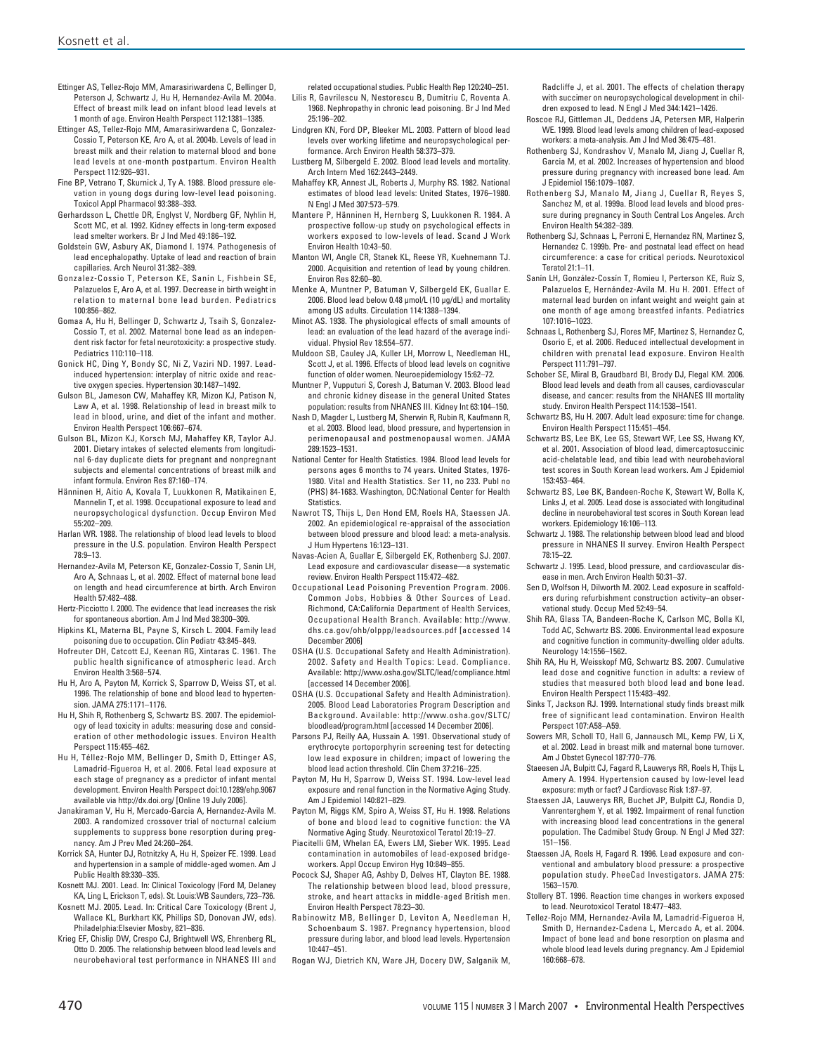- Ettinger AS, Tellez-Rojo MM, Amarasiriwardena C, Bellinger D, Peterson J, Schwartz J, Hu H, Hernandez-Avila M. 2004a. Effect of breast milk lead on infant blood lead levels at 1 month of age. Environ Health Perspect 112:1381–1385.
- Ettinger AS, Tellez-Rojo MM, Amarasiriwardena C, Gonzalez-Cossio T, Peterson KE, Aro A, et al. 2004b. Levels of lead in breast milk and their relation to maternal blood and bone lead levels at one-month postpartum. Environ Health Perspect 112:926–931.
- Fine BP, Vetrano T, Skurnick J, Ty A. 1988. Blood pressure elevation in young dogs during low-level lead poisoning. Toxicol Appl Pharmacol 93:388–393.
- Gerhardsson L, Chettle DR, Englyst V, Nordberg GF, Nyhlin H, Scott MC, et al. 1992. Kidney effects in long-term exposed lead smelter workers. Br J Ind Med 49:186–192.
- Goldstein GW, Asbury AK, Diamond I. 1974. Pathogenesis of lead encephalopathy. Uptake of lead and reaction of brain capillaries. Arch Neurol 31:382–389.
- Gonzalez-Cossio T, Peterson KE, Sanín L, Fishbein SE, Palazuelos E, Aro A, et al. 1997. Decrease in birth weight in relation to maternal bone lead burden. Pediatrics 100:856–862.
- Gomaa A, Hu H, Bellinger D, Schwartz J, Tsaih S, Gonzalez-Cossio T, et al. 2002. Maternal bone lead as an independent risk factor for fetal neurotoxicity: a prospective study. Pediatrics 110:110–118.
- Gonick HC, Ding Y, Bondy SC, Ni Z, Vaziri ND. 1997. Leadinduced hypertension: interplay of nitric oxide and reactive oxygen species. Hypertension 30:1487–1492.
- Gulson BL, Jameson CW, Mahaffey KR, Mizon KJ, Patison N, Law A, et al. 1998. Relationship of lead in breast milk to lead in blood, urine, and diet of the infant and mother. Environ Health Perspect 106:667–674.
- Gulson BL, Mizon KJ, Korsch MJ, Mahaffey KR, Taylor AJ. 2001. Dietary intakes of selected elements from longitudinal 6-day duplicate diets for pregnant and nonpregnant subjects and elemental concentrations of breast milk and infant formula. Environ Res 87:160–174.
- Hänninen H, Aitio A, Kovala T, Luukkonen R, Matikainen E, Mannelin T, et al. 1998. Occupational exposure to lead and neuropsychological dysfunction. Occup Environ Med 55:202–209.
- Harlan WR. 1988. The relationship of blood lead levels to blood pressure in the U.S. population. Environ Health Perspect 78:9–13.
- Hernandez-Avila M, Peterson KE, Gonzalez-Cossio T, Sanin LH, Aro A, Schnaas L, et al. 2002. Effect of maternal bone lead on length and head circumference at birth. Arch Environ Health 57:482–488.
- Hertz-Picciotto I. 2000. The evidence that lead increases the risk for spontaneous abortion. Am J Ind Med 38:300–309. Hipkins KL, Materna BL, Payne S, Kirsch L. 2004. Family lead
- poisoning due to occupation. Clin Pediatr 43:845–849. Hofreuter DH, Catcott EJ, Keenan RG, Xintaras C. 1961. The
- public health significance of atmospheric lead. Arch Environ Health 3:568–574.
- Hu H, Aro A, Payton M, Korrick S, Sparrow D, Weiss ST, et al. 1996. The relationship of bone and blood lead to hypertension. JAMA 275:1171–1176.
- Hu H, Shih R, Rothenberg S, Schwartz BS. 2007. The epidemiology of lead toxicity in adults: measuring dose and consideration of other methodologic issues. Environ Health Perspect 115:455–462.
- Hu H, Téllez-Rojo MM, Bellinger D, Smith D, Ettinger AS, Lamadrid-Figueroa H, et al. 2006. Fetal lead exposure at each stage of pregnancy as a predictor of infant mental development. Environ Health Perspect doi:10.1289/ehp.9067 available via http://dx.doi.org/ [Online 19 July 2006].
- Janakiraman V, Hu H, Mercado-Garcia A, Hernandez-Avila M. 2003. A randomized crossover trial of nocturnal calcium supplements to suppress bone resorption during pregnancy. Am J Prev Med 24:260–264.
- Korrick SA, Hunter DJ, Rotnitzky A, Hu H, Speizer FE. 1999. Lead and hypertension in a sample of middle-aged women. Am J Public Health 89:330–335.
- Kosnett MJ. 2001. Lead. In: Clinical Toxicology (Ford M, Delaney KA, Ling L, Erickson T, eds). St. Louis:WB Saunders, 723–736.
- Kosnett MJ. 2005. Lead. In: Critical Care Toxicology (Brent J, Wallace KL, Burkhart KK, Phillips SD, Donovan JW, eds). Philadelphia:Elsevier Mosby, 821–836.
- Krieg EF, Chislip DW, Crespo CJ, Brightwell WS, Ehrenberg RL, Otto D. 2005. The relationship between blood lead levels and neurobehavioral test performance in NHANES III and

related occupational studies. Public Health Rep 120:240–251. Lilis R, Gavrilescu N, Nestorescu B, Dumitriu C, Roventa A.

- 1968. Nephropathy in chronic lead poisoning. Br J Ind Med 25:196–202.
- Lindgren KN, Ford DP, Bleeker ML. 2003. Pattern of blood lead levels over working lifetime and neuropsychological performance. Arch Environ Health 58:373–379.
- Lustberg M, Silbergeld E. 2002. Blood lead levels and mortality. Arch Intern Med 162:2443–2449.
- Mahaffey KR, Annest JL, Roberts J, Murphy RS. 1982. National estimates of blood lead levels: United States, 1976–1980. N Engl J Med 307:573–579.
- Mantere P, Hänninen H, Hernberg S, Luukkonen R. 1984. A prospective follow-up study on psychological effects in workers exposed to low-levels of lead. Scand J Work Environ Health 10:43–50.
- Manton WI, Angle CR, Stanek KL, Reese YR, Kuehnemann TJ. 2000. Acquisition and retention of lead by young children. Environ Res 82:60–80.
- Menke A, Muntner P, Batuman V, Silbergeld EK, Guallar E. 2006. Blood lead below 0.48 µmol/L (10 µg/dL) and mortality among US adults. Circulation 114:1388–1394.
- Minot AS. 1938. The physiological effects of small amounts of lead: an evaluation of the lead hazard of the average individual. Physiol Rev 18:554–577.
- Muldoon SB, Cauley JA, Kuller LH, Morrow L, Needleman HL, Scott J, et al. 1996. Effects of blood lead levels on cognitive function of older women. Neuroepidemiology 15:62–72.
- Muntner P, Vupputuri S, Coresh J, Batuman V. 2003. Blood lead and chronic kidney disease in the general United States population: results from NHANES III. Kidney Int 63:104–150.
- Nash D, Magder L, Lustberg M, Sherwin R, Rubin R, Kaufmann R, et al. 2003. Blood lead, blood pressure, and hypertension in perimenopausal and postmenopausal women. JAMA 289:1523–1531.
- National Center for Health Statistics. 1984. Blood lead levels for persons ages 6 months to 74 years. United States, 1976- 1980. Vital and Health Statistics. Ser 11, no 233. Publ no (PHS) 84-1683. Washington, DC:National Center for Health **Statistics**
- Nawrot TS, Thijs L, Den Hond EM, Roels HA, Staessen JA. 2002. An epidemiological re-appraisal of the association between blood pressure and blood lead: a meta-analysis. J Hum Hypertens 16:123–131.
- Navas-Acien A, Guallar E, Silbergeld EK, Rothenberg SJ. 2007. Lead exposure and cardiovascular disease—a systematic review. Environ Health Perspect 115:472–482.
- Occupational Lead Poisoning Prevention Program. 2006. Common Jobs, Hobbies & Other Sources of Lead. Richmond, CA:California Department of Health Services, Occupational Health Branch. Available: http://www. dhs.ca.gov/ohb/olppp/leadsources.pdf [accessed 14 December 2006]
- OSHA (U.S. Occupational Safety and Health Administration). 2002. Safety and Health Topics: Lead. Compliance. Available: http://www.osha.gov/SLTC/lead/compliance.html [accessed 14 December 2006].
- OSHA (U.S. Occupational Safety and Health Administration). 2005. Blood Lead Laboratories Program Description and Background. Available: http://www.osha.gov/SLTC/ bloodlead/program.html [accessed 14 December 2006].
- Parsons PJ, Reilly AA, Hussain A. 1991. Observational study of erythrocyte portoporphyrin screening test for detecting low lead exposure in children; impact of lowering the blood lead action threshold. Clin Chem 37:216–225.
- Payton M, Hu H, Sparrow D, Weiss ST. 1994. Low-level lead exposure and renal function in the Normative Aging Study. Am J Epidemiol 140:821–829.
- Payton M, Riggs KM, Spiro A, Weiss ST, Hu H. 1998. Relations of bone and blood lead to cognitive function: the VA Normative Aging Study. Neurotoxicol Teratol 20:19–27.
- Piacitelli GM, Whelan EA, Ewers LM, Sieber WK. 1995. Lead contamination in automobiles of lead-exposed bridgeworkers. Appl Occup Environ Hyg 10:849–855.
- Pocock SJ, Shaper AG, Ashby D, Delves HT, Clayton BE. 1988. The relationship between blood lead, blood pressure, stroke, and heart attacks in middle-aged British men. Environ Health Perspect 78:23–30.
- Rabinowitz MB, Bellinger D, Leviton A, Needleman H, Schoenbaum S. 1987. Pregnancy hypertension, blood pressure during labor, and blood lead levels. Hypertension 10:447–451.
- Rogan WJ, Dietrich KN, Ware JH, Docery DW, Salganik M,

Radcliffe J, et al. 2001. The effects of chelation therapy with succimer on neuropsychological development in chi dren exposed to lead. N Engl J Med 344:1421–1426.

- Roscoe RJ, Gittleman JL, Deddens JA, Petersen MR, Halperin WE. 1999. Blood lead levels among children of lead-exposed workers: a meta-analysis. Am J Ind Med 36:475–481.
- Rothenberg SJ, Kondrashov V, Manalo M, Jiang J, Cuellar R, Garcia M, et al. 2002. Increases of hypertension and blood pressure during pregnancy with increased bone lead. Am J Epidemiol 156:1079–1087.
- Rothenberg SJ, Manalo M, Jiang J, Cuellar R, Reyes S, Sanchez M, et al. 1999a. Blood lead levels and blood pressure during pregnancy in South Central Los Angeles. Arch Environ Health 54:382–389.
- Rothenberg SJ, Schnaas L, Perroni E, Hernandez RN, Martinez S, Hernandez C. 1999b. Pre- and postnatal lead effect on head circumference: a case for critical periods. Neurotoxicol Teratol 21:1–11.
- Sanín LH, González-Cossín T, Romieu I, Perterson KE, Ruíz S, Palazuelos E, Hernández-Avila M. Hu H. 2001. Effect of maternal lead burden on infant weight and weight gain at one month of age among breastfed infants. Pediatrics 107:1016–1023.
- Schnaas L, Rothenberg SJ, Flores MF, Martinez S, Hernandez C, Osorio E, et al. 2006. Reduced intellectual development in children with prenatal lead exposure. Environ Health Perspect 111:791–797.
- Schober SE, Miral B, Graudbard BI, Brody DJ, Flegal KM. 2006. Blood lead levels and death from all causes, cardiovascular disease, and cancer: results from the NHANES III mortality study. Environ Health Perspect 114:1538–1541.
- Schwartz BS, Hu H. 2007. Adult lead exposure: time for change. Environ Health Perspect 115:451–454.
- Schwartz BS, Lee BK, Lee GS, Stewart WF, Lee SS, Hwang KY, et al. 2001. Association of blood lead, dimercaptosuccinic acid-chelatable lead, and tibia lead with neurobehavioral test scores in South Korean lead workers. Am J Epidemiol 153:453–464.
- Schwartz BS, Lee BK, Bandeen-Roche K, Stewart W, Bolla K, Links J, et al. 2005. Lead dose is associated with longitudinal decline in neurobehavioral test scores in South Korean lead workers. Epidemiology 16:106–113.
- Schwartz J. 1988. The relationship between blood lead and blood pressure in NHANES II survey. Environ Health Perspect 78:15–22.
- Schwartz J. 1995. Lead, blood pressure, and cardiovascular disease in men. Arch Environ Health 50:31–37.
- Sen D, Wolfson H, Dilworth M. 2002. Lead exposure in scaffolders during refurbishment construction activity–an observational study. Occup Med 52:49–54.
- Shih RA, Glass TA, Bandeen-Roche K, Carlson MC, Bolla KI, Todd AC, Schwartz BS. 2006. Environmental lead exposure and cognitive function in community-dwelling older adults. Neurology 14:1556–1562.
- Shih RA, Hu H, Weisskopf MG, Schwartz BS. 2007. Cumulative lead dose and cognitive function in adults: a review of studies that measured both blood lead and bone lead. Environ Health Perspect 115:483–492.
- Sinks T, Jackson RJ. 1999. International study finds breast milk free of significant lead contamination. Environ Health Perspect 107:A58–A59.
- Sowers MR, Scholl TO, Hall G, Jannausch ML, Kemp FW, Li X, et al. 2002. Lead in breast milk and maternal bone turnover. Am J Obstet Gynecol 187:770–776.
- Staeesen JA, Bulpitt CJ, Fagard R, Lauwerys RR, Roels H, Thijs L, Amery A. 1994. Hypertension caused by low-level lead exposure: myth or fact? J Cardiovasc Risk 1:87–97.
- Staessen JA, Lauwerys RR, Buchet JP, Bulpitt CJ, Rondia D, Vanrenterghem Y, et al. 1992. Impairment of renal function with increasing blood lead concentrations in the general population. The Cadmibel Study Group. N Engl J Med 327: 151–156.
- Staessen JA, Roels H, Fagard R. 1996. Lead exposure and conventional and ambulatory blood pressure: a prospective population study. PheeCad Investigators. JAMA 275: 1563–1570.
- Stollery BT. 1996. Reaction time changes in workers exposed to lead. Neurotoxicol Teratol 18:477–483.
- Tellez-Rojo MM, Hernandez-Avila M, Lamadrid-Figueroa H, Smith D, Hernandez-Cadena L, Mercado A, et al. 2004. Impact of bone lead and bone resorption on plasma and whole blood lead levels during pregnancy. Am J Epidemiol 160:668–678.